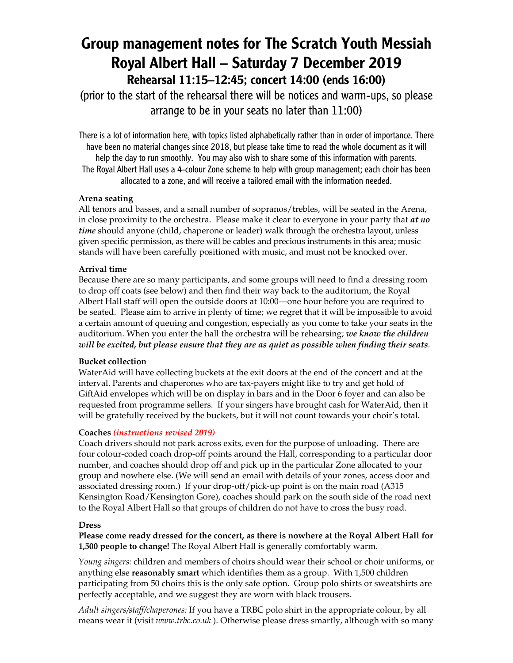# Group management notes for The Scratch Youth Messiah Royal Albert Hall – Saturday 7 December 2019 Rehearsal 11:15–12:45; concert 14:00 (ends 16:00)

(prior to the start of the rehearsal there will be notices and warm-ups, so please arrange to be in your seats no later than 11:00)

There is a lot of information here, with topics listed alphabetically rather than in order of importance. There have been no material changes since 2018, but please take time to read the whole document as it will help the day to run smoothly. You may also wish to share some of this information with parents. The Royal Albert Hall uses a 4-colour Zone scheme to help with group management; each choir has been allocated to a zone, and will receive a tailored email with the information needed.

# **Arena seating**

All tenors and basses, and a small number of sopranos/trebles, will be seated in the Arena, in close proximity to the orchestra. Please make it clear to everyone in your party that *at no time* should anyone (child, chaperone or leader) walk through the orchestra layout, unless given specific permission, as there will be cables and precious instruments in this area; music stands will have been carefully positioned with music, and must not be knocked over.

# **Arrival time**

Because there are so many participants, and some groups will need to find a dressing room to drop off coats (see below) and then find their way back to the auditorium, the Royal Albert Hall staff will open the outside doors at 10:00—one hour before you are required to be seated. Please aim to arrive in plenty of time; we regret that it will be impossible to avoid a certain amount of queuing and congestion, especially as you come to take your seats in the auditorium. When you enter the hall the orchestra will be rehearsing; *we know the children will be excited, but please ensure that they are as quiet as possible when finding their seats*.

# **Bucket collection**

WaterAid will have collecting buckets at the exit doors at the end of the concert and at the interval. Parents and chaperones who are tax-payers might like to try and get hold of GiftAid envelopes which will be on display in bars and in the Door 6 foyer and can also be requested from programme sellers. If your singers have brought cash for WaterAid, then it will be gratefully received by the buckets, but it will not count towards your choir's total.

# **Coaches** *(instructions revised 2019)*

Coach drivers should not park across exits, even for the purpose of unloading. There are four colour-coded coach drop-off points around the Hall, corresponding to a particular door number, and coaches should drop off and pick up in the particular Zone allocated to your group and nowhere else. (We will send an email with details of your zones, access door and associated dressing room.) If your drop-off/pick-up point is on the main road (A315 Kensington Road/Kensington Gore), coaches should park on the south side of the road next to the Royal Albert Hall so that groups of children do not have to cross the busy road.

# **Dress**

**Please come ready dressed for the concert, as there is nowhere at the Royal Albert Hall for 1,500 people to change!** The Royal Albert Hall is generally comfortably warm.

*Young singers:* children and members of choirs should wear their school or choir uniforms, or anything else **reasonably smart** which identifies them as a group. With 1,500 children participating from 50 choirs this is the only safe option. Group polo shirts or sweatshirts are perfectly acceptable, and we suggest they are worn with black trousers.

*Adult singers/staff/chaperones:* If you have a TRBC polo shirt in the appropriate colour, by all means wear it (visit *www.trbc.co.uk* ). Otherwise please dress smartly, although with so many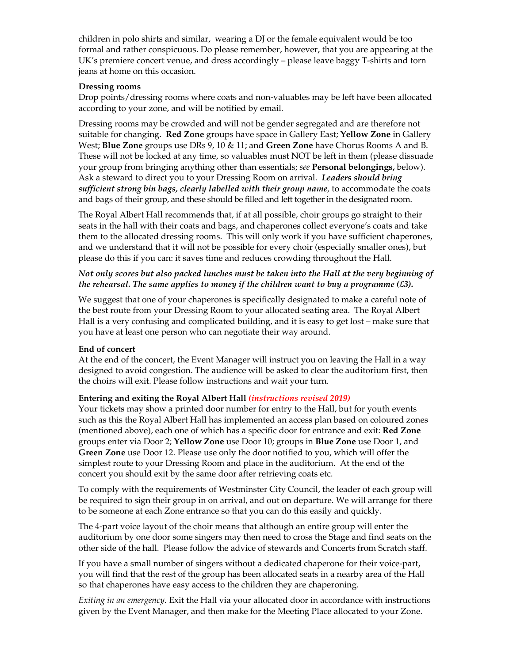children in polo shirts and similar, wearing a DJ or the female equivalent would be too formal and rather conspicuous. Do please remember, however, that you are appearing at the UK's premiere concert venue, and dress accordingly – please leave baggy T-shirts and torn jeans at home on this occasion.

#### **Dressing rooms**

Drop points/dressing rooms where coats and non-valuables may be left have been allocated according to your zone, and will be notified by email.

Dressing rooms may be crowded and will not be gender segregated and are therefore not suitable for changing. **Red Zone** groups have space in Gallery East; **Yellow Zone** in Gallery West; **Blue Zone** groups use DRs 9, 10 & 11; and **Green Zone** have Chorus Rooms A and B. These will not be locked at any time, so valuables must NOT be left in them (please dissuade your group from bringing anything other than essentials; *see* **Personal belongings,** below). Ask a steward to direct you to your Dressing Room on arrival. *Leaders should bring sufficient strong bin bags, clearly labelled with their group name,* to accommodate the coats and bags of their group, and these should be filled and left together in the designated room.

The Royal Albert Hall recommends that, if at all possible, choir groups go straight to their seats in the hall with their coats and bags, and chaperones collect everyone's coats and take them to the allocated dressing rooms. This will only work if you have sufficient chaperones, and we understand that it will not be possible for every choir (especially smaller ones), but please do this if you can: it saves time and reduces crowding throughout the Hall.

# *Not only scores but also packed lunches must be taken into the Hall at the very beginning of the rehearsal. The same applies to money if the children want to buy a programme (£3).*

We suggest that one of your chaperones is specifically designated to make a careful note of the best route from your Dressing Room to your allocated seating area. The Royal Albert Hall is a very confusing and complicated building, and it is easy to get lost – make sure that you have at least one person who can negotiate their way around.

#### **End of concert**

At the end of the concert, the Event Manager will instruct you on leaving the Hall in a way designed to avoid congestion. The audience will be asked to clear the auditorium first, then the choirs will exit. Please follow instructions and wait your turn.

#### **Entering and exiting the Royal Albert Hall** *(instructions revised 2019)*

Your tickets may show a printed door number for entry to the Hall, but for youth events such as this the Royal Albert Hall has implemented an access plan based on coloured zones (mentioned above), each one of which has a specific door for entrance and exit: **Red Zone**  groups enter via Door 2; **Yellow Zone** use Door 10; groups in **Blue Zone** use Door 1, and **Green Zone** use Door 12. Please use only the door notified to you, which will offer the simplest route to your Dressing Room and place in the auditorium. At the end of the concert you should exit by the same door after retrieving coats etc.

To comply with the requirements of Westminster City Council, the leader of each group will be required to sign their group in on arrival, and out on departure. We will arrange for there to be someone at each Zone entrance so that you can do this easily and quickly.

The 4-part voice layout of the choir means that although an entire group will enter the auditorium by one door some singers may then need to cross the Stage and find seats on the other side of the hall. Please follow the advice of stewards and Concerts from Scratch staff.

If you have a small number of singers without a dedicated chaperone for their voice-part, you will find that the rest of the group has been allocated seats in a nearby area of the Hall so that chaperones have easy access to the children they are chaperoning.

*Exiting in an emergency.* Exit the Hall via your allocated door in accordance with instructions given by the Event Manager, and then make for the Meeting Place allocated to your Zone.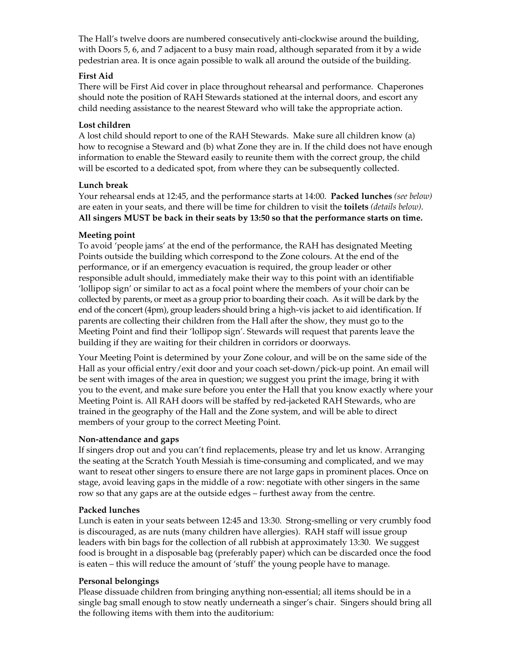The Hall's twelve doors are numbered consecutively anti-clockwise around the building, with Doors 5, 6, and 7 adjacent to a busy main road, although separated from it by a wide pedestrian area. It is once again possible to walk all around the outside of the building.

### **First Aid**

There will be First Aid cover in place throughout rehearsal and performance. Chaperones should note the position of RAH Stewards stationed at the internal doors, and escort any child needing assistance to the nearest Steward who will take the appropriate action.

#### **Lost children**

A lost child should report to one of the RAH Stewards. Make sure all children know (a) how to recognise a Steward and (b) what Zone they are in. If the child does not have enough information to enable the Steward easily to reunite them with the correct group, the child will be escorted to a dedicated spot, from where they can be subsequently collected.

#### **Lunch break**

Your rehearsal ends at 12:45, and the performance starts at 14:00. **Packed lunches** *(see below)* are eaten in your seats, and there will be time for children to visit the **toilets** *(details below)*. **All singers MUST be back in their seats by 13:50 so that the performance starts on time.** 

# **Meeting point**

To avoid 'people jams' at the end of the performance, the RAH has designated Meeting Points outside the building which correspond to the Zone colours. At the end of the performance, or if an emergency evacuation is required, the group leader or other responsible adult should, immediately make their way to this point with an identifiable 'lollipop sign' or similar to act as a focal point where the members of your choir can be collected by parents, or meet as a group prior to boarding their coach. As it will be dark by the end of the concert (4pm), group leaders should bring a high-vis jacket to aid identification. If parents are collecting their children from the Hall after the show, they must go to the Meeting Point and find their 'lollipop sign'. Stewards will request that parents leave the building if they are waiting for their children in corridors or doorways.

Your Meeting Point is determined by your Zone colour, and will be on the same side of the Hall as your official entry/exit door and your coach set-down/pick-up point. An email will be sent with images of the area in question; we suggest you print the image, bring it with you to the event, and make sure before you enter the Hall that you know exactly where your Meeting Point is. All RAH doors will be staffed by red-jacketed RAH Stewards, who are trained in the geography of the Hall and the Zone system, and will be able to direct members of your group to the correct Meeting Point.

#### **Non-attendance and gaps**

If singers drop out and you can't find replacements, please try and let us know. Arranging the seating at the Scratch Youth Messiah is time-consuming and complicated, and we may want to reseat other singers to ensure there are not large gaps in prominent places. Once on stage, avoid leaving gaps in the middle of a row: negotiate with other singers in the same row so that any gaps are at the outside edges – furthest away from the centre.

# **Packed lunches**

Lunch is eaten in your seats between 12:45 and 13:30. Strong-smelling or very crumbly food is discouraged, as are nuts (many children have allergies). RAH staff will issue group leaders with bin bags for the collection of all rubbish at approximately 13:30. We suggest food is brought in a disposable bag (preferably paper) which can be discarded once the food is eaten – this will reduce the amount of 'stuff' the young people have to manage.

#### **Personal belongings**

Please dissuade children from bringing anything non-essential; all items should be in a single bag small enough to stow neatly underneath a singer's chair. Singers should bring all the following items with them into the auditorium: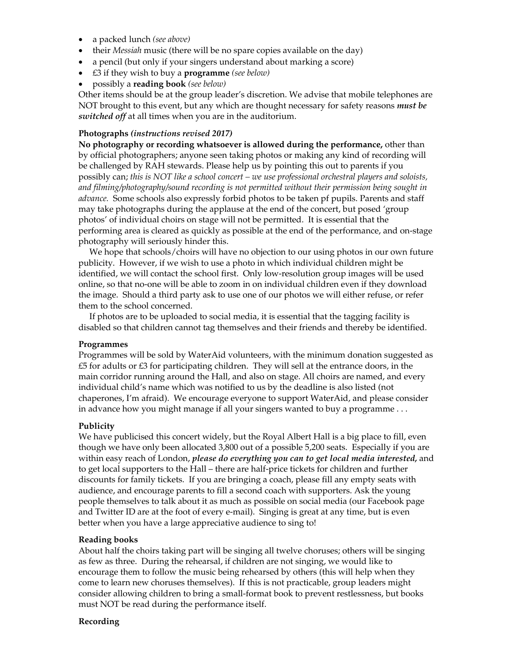- a packed lunch *(see above)*
- their *Messiah* music (there will be no spare copies available on the day)
- a pencil (but only if your singers understand about marking a score)
- £3 if they wish to buy a **programme** *(see below)*
- possibly a **reading book** *(see below)*

Other items should be at the group leader's discretion. We advise that mobile telephones are NOT brought to this event, but any which are thought necessary for safety reasons *must be switched off* at all times when you are in the auditorium.

#### **Photographs** *(instructions revised 2017)*

**No photography or recording whatsoever is allowed during the performance,** other than by official photographers; anyone seen taking photos or making any kind of recording will be challenged by RAH stewards. Please help us by pointing this out to parents if you possibly can; *this is NOT like a school concert – we use professional orchestral players and soloists, and filming/photography/sound recording is not permitted without their permission being sought in advance.* Some schools also expressly forbid photos to be taken pf pupils. Parents and staff may take photographs during the applause at the end of the concert, but posed 'group photos' of individual choirs on stage will not be permitted. It is essential that the performing area is cleared as quickly as possible at the end of the performance, and on-stage photography will seriously hinder this.

 We hope that schools/choirs will have no objection to our using photos in our own future publicity. However, if we wish to use a photo in which individual children might be identified, we will contact the school first. Only low-resolution group images will be used online, so that no-one will be able to zoom in on individual children even if they download the image. Should a third party ask to use one of our photos we will either refuse, or refer them to the school concerned.

 If photos are to be uploaded to social media, it is essential that the tagging facility is disabled so that children cannot tag themselves and their friends and thereby be identified.

#### **Programmes**

Programmes will be sold by WaterAid volunteers, with the minimum donation suggested as  $£5$  for adults or  $£3$  for participating children. They will sell at the entrance doors, in the main corridor running around the Hall, and also on stage. All choirs are named, and every individual child's name which was notified to us by the deadline is also listed (not chaperones, I'm afraid). We encourage everyone to support WaterAid, and please consider in advance how you might manage if all your singers wanted to buy a programme . . .

#### **Publicity**

We have publicised this concert widely, but the Royal Albert Hall is a big place to fill, even though we have only been allocated 3,800 out of a possible 5,200 seats. Especially if you are within easy reach of London, *please do everything you can to get local media interested,* and to get local supporters to the Hall – there are half-price tickets for children and further discounts for family tickets. If you are bringing a coach, please fill any empty seats with audience, and encourage parents to fill a second coach with supporters. Ask the young people themselves to talk about it as much as possible on social media (our Facebook page and Twitter ID are at the foot of every e-mail). Singing is great at any time, but is even better when you have a large appreciative audience to sing to!

#### **Reading books**

About half the choirs taking part will be singing all twelve choruses; others will be singing as few as three. During the rehearsal, if children are not singing, we would like to encourage them to follow the music being rehearsed by others (this will help when they come to learn new choruses themselves). If this is not practicable, group leaders might consider allowing children to bring a small-format book to prevent restlessness, but books must NOT be read during the performance itself.

#### **Recording**